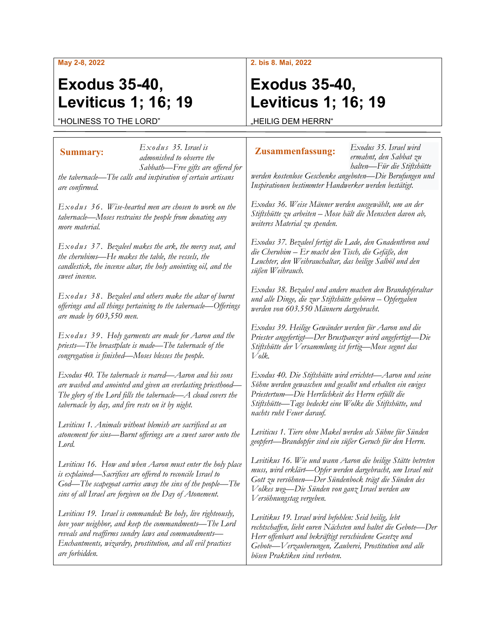#### **May 2-8, 2022**

# **Exodus 35-40, Leviticus 1; 16; 19**

#### **2. bis 8. Mai, 2022**

# **Exodus 35-40, Leviticus 1; 16; 19**

"HOLINESS TO THE LORD"

HEILIG DEM HERRN"

#### *Exodus 35. Israel is admonished to observe the Sabbath—Free gifts are offered for the tabernacle—The calls and inspiration of certain artisans are confirmed. Exodus 36. Wise-hearted men are chosen to work on the tabernacle—Moses restrains the people from donating any more material. Exodus 37. Bezaleel makes the ark, the mercy seat, and the cherubims—He makes the table, the vessels, the candlestick, the incense altar, the holy anointing oil, and the sweet incense. Exodus 38. Bezaleel and others make the altar of burnt offerings and all things pertaining to the tabernacle—Offerings are made by 603,550 men. Exodus 39. Holy garments are made for Aaron and the priests—The breastplate is made—The tabernacle of the congregation is finished—Moses blesses the people. Exodus 40. The tabernacle is reared—Aaron and his sons are washed and anointed and given an everlasting priesthood— The glory of the Lord fills the tabernacle—A cloud covers the tabernacle by day, and fire rests on it by night. Leviticus 1. Animals without blemish are sacrificed as an atonement for sins—Burnt offerings are a sweet savor unto the Lord. Leviticus 16. How and when Aaron must enter the holy place is explained—Sacrifices are offered to reconcile Israel to God—The scapegoat carries away the sins of the people—The sins of all Israel are forgiven on the Day of Atonement. Leviticus 19. Israel is commanded: Be holy, live righteously, love your neighbor, and keep the commandments—The Lord reveals and reaffirms sundry laws and commandments— Enchantments, wizardry, prostitution, and all evil practices are forbidden. Exodus 35. Israel wird ermahnt, den Sabbat zu halten—Für die Stiftshütte werden kostenlose Geschenke angeboten—Die Berufungen und Inspirationen bestimmter Handwerker werden bestätigt. Exodus 36. Weise Männer werden ausgewählt, um an der Stiftshütte zu arbeiten – Mose hält die Menschen davon ab, weiteres Material zu spenden. Exodus 37. Bezaleel fertigt die Lade, den Gnadenthron und die Cherubim – Er macht den Tisch, die Gefäße, den Leuchter, den Weihrauchaltar, das heilige Salböl und den süßen Weihrauch. Exodus 38. Bezaleel und andere machen den Brandopferaltar und alle Dinge, die zur Stiftshütte gehören – Opfergaben werden von 603.550 Männern dargebracht. Exodus 39. Heilige Gewänder werden für Aaron und die Priester angefertigt—Der Brustpanzer wird angefertigt—Die Stiftshütte der Versammlung ist fertig—Mose segnet das Volk. Exodus 40. Die Stiftshütte wird errichtet—Aaron und seine Söhne werden gewaschen und gesalbt und erhalten ein ewiges Priestertum—Die Herrlichkeit des Herrn erfüllt die Stiftshütte—Tags bedeckt eine Wolke die Stiftshütte, und nachts ruht Feuer darauf. Leviticus 1. Tiere ohne Makel werden als Sühne für Sünden geopfert—Brandopfer sind ein süßer Geruch für den Herrn. Levitikus 16. Wie und wann Aaron die heilige Stätte betreten muss, wird erklärt—Opfer werden dargebracht, um Israel mit Gott zu versöhnen—Der Sündenbock trägt die Sünden des Volkes weg—Die Sünden von ganz Israel werden am Versöhnungstag vergeben. Levitikus 19. Israel wird befohlen: Seid heilig, lebt rechtschaffen, liebt euren Nächsten und haltet die Gebote—Der Herr offenbart und bekräftigt verschiedene Gesetze und Gebote—Verzauberungen, Zauberei, Prostitution und alle bösen Praktiken sind verboten.* **Summary: Zusammenfassung:**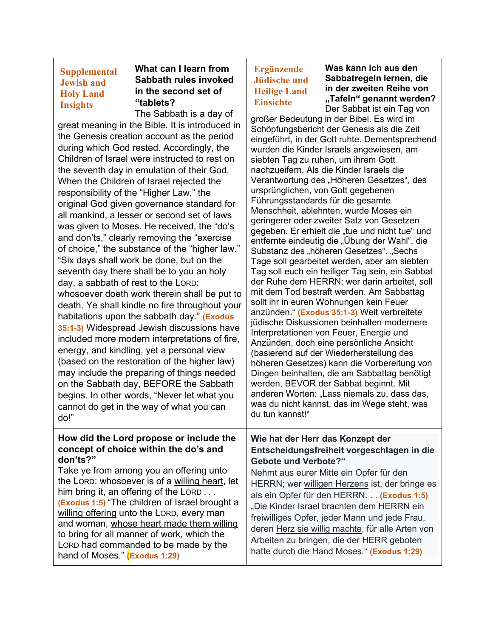## **Supplemental Jewish and Holy Land Insights**

### **What can I learn from Sabbath rules invoked in the second set of "tablets?**

The Sabbath is a day of great meaning in the Bible. It is introduced in the Genesis creation account as the period during which God rested. Accordingly, the Children of Israel were instructed to rest on the seventh day in emulation of their God. When the Children of Israel rejected the responsibility of the "Higher Law," the original God given governance standard for all mankind, a lesser or second set of laws was given to Moses. He received, the "do's and don'ts," clearly removing the "exercise of choice," the substance of the "higher law." "Six days shall work be done, but on the seventh day there shall be to you an holy day, a sabbath of rest to the LORD: whosoever doeth work therein shall be put to death. Ye shall kindle no fire throughout your habitations upon the sabbath day." **(Exodus 35:1-3)** Widespread Jewish discussions have included more modern interpretations of fire, energy, and kindling, yet a personal view (based on the restoration of the higher law) may include the preparing of things needed on the Sabbath day, BEFORE the Sabbath begins. In other words, "Never let what you cannot do get in the way of what you can do!"

#### **How did the Lord propose or include the concept of choice within the do's and don'ts?"**

Take ye from among you an offering unto the LORD: whosoever is of a willing heart, let him bring it, an offering of the LORD . . . **(Exodus 1:5)** "The children of Israel brought a willing offering unto the LORD, every man and woman, whose heart made them willing to bring for all manner of work, which the LORD had commanded to be made by the hand of Moses." **(Exodus 1:29)**

# **Ergänzende Jüdische und Heilige Land Einsichte**

**Was kann ich aus den Sabbatregeln lernen, die in der zweiten Reihe von "Tafeln" genannt werden?** Der Sabbat ist ein Tag von

großer Bedeutung in der Bibel. Es wird im Schöpfungsbericht der Genesis als die Zeit eingeführt, in der Gott ruhte. Dementsprechend wurden die Kinder Israels angewiesen, am siebten Tag zu ruhen, um ihrem Gott nachzueifern. Als die Kinder Israels die Verantwortung des "Höheren Gesetzes", des ursprünglichen, von Gott gegebenen Führungsstandards für die gesamte Menschheit, ablehnten, wurde Moses ein geringerer oder zweiter Satz von Gesetzen gegeben. Er erhielt die "tue und nicht tue" und entfernte eindeutig die "Übung der Wahl", die Substanz des "höheren Gesetzes". "Sechs Tage soll gearbeitet werden, aber am siebten Tag soll euch ein heiliger Tag sein, ein Sabbat der Ruhe dem HERRN; wer darin arbeitet, soll mit dem Tod bestraft werden. Am Sabbattag sollt ihr in euren Wohnungen kein Feuer anzünden." **(Exodus 35:1-3)** Weit verbreitete jüdische Diskussionen beinhalten modernere Interpretationen von Feuer, Energie und Anzünden, doch eine persönliche Ansicht (basierend auf der Wiederherstellung des höheren Gesetzes) kann die Vorbereitung von Dingen beinhalten, die am Sabbattag benötigt werden, BEVOR der Sabbat beginnt. Mit anderen Worten: "Lass niemals zu, dass das, was du nicht kannst, das im Wege steht, was du tun kannst!"

#### **Wie hat der Herr das Konzept der Entscheidungsfreiheit vorgeschlagen in die Gebote und Verbote?"**

Nehmt aus eurer Mitte ein Opfer für den HERRN; wer willigen Herzens ist, der bringe es als ein Opfer für den HERRN. . . **(Exodus 1:5)** "Die Kinder Israel brachten dem HERRN ein freiwilliges Opfer, jeder Mann und jede Frau, deren Herz sie willig machte, für alle Arten von Arbeiten zu bringen, die der HERR geboten hatte durch die Hand Moses." **(Exodus 1:29)**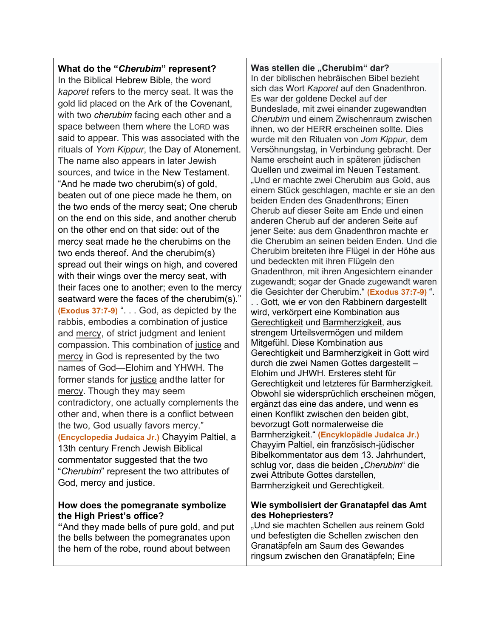**What do the "***Cherubim***" represent?** In the Biblical Hebrew Bible, the word *kaporet* refers to the mercy seat. It was the gold lid placed on the Ark of the Covenant, with two *cherubim* facing each other and a space between them where the LORD was said to appear. This was associated with the rituals of *Yom Kippur*, the Day of Atonement. The name also appears in later Jewish sources, and twice in the New Testament. "And he made two cherubim(s) of gold, beaten out of one piece made he them, on the two ends of the mercy seat; One cherub on the end on this side, and another cherub on the other end on that side: out of the mercy seat made he the cherubims on the two ends thereof. And the cherubim(s) spread out their wings on high, and covered with their wings over the mercy seat, with their faces one to another; even to the mercy seatward were the faces of the cherubim(s)." **(Exodus 37:7-9)** ". . . God, as depicted by the rabbis, embodies a combination of justice and mercy, of strict judgment and lenient compassion. This combination of justice and mercy in God is represented by the two names of God—Elohim and YHWH. The former stands for justice andthe latter for mercy. Though they may seem contradictory, one actually complements the other and, when there is a conflict between the two, God usually favors mercy." **(Encyclopedia Judaica Jr.)** Chayyim Paltiel, a 13th century French Jewish Biblical commentator suggested that the two "*Cherubim*" represent the two attributes of God, mercy and justice. **How does the pomegranate symbolize the High Priest's office?**

**"**And they made bells of pure gold, and put the bells between the pomegranates upon the hem of the robe, round about between

Was stellen die "Cherubim" dar?

In der biblischen hebräischen Bibel bezieht sich das Wort *Kaporet* auf den Gnadenthron. Es war der goldene Deckel auf der Bundeslade, mit zwei einander zugewandten *Cherubim* und einem Zwischenraum zwischen ihnen, wo der HERR erscheinen sollte. Dies wurde mit den Ritualen von *Jom Kippur*, dem Versöhnungstag, in Verbindung gebracht. Der Name erscheint auch in späteren jüdischen Quellen und zweimal im Neuen Testament. "Und er machte zwei Cherubim aus Gold, aus einem Stück geschlagen, machte er sie an den beiden Enden des Gnadenthrons; Einen Cherub auf dieser Seite am Ende und einen anderen Cherub auf der anderen Seite auf jener Seite: aus dem Gnadenthron machte er die Cherubim an seinen beiden Enden. Und die Cherubim breiteten ihre Flügel in der Höhe aus und bedeckten mit ihren Flügeln den Gnadenthron, mit ihren Angesichtern einander zugewandt; sogar der Gnade zugewandt waren die Gesichter der Cherubim." **(Exodus 37:7-9)** ".

. . Gott, wie er von den Rabbinern dargestellt wird, verkörpert eine Kombination aus Gerechtigkeit und Barmherzigkeit, aus strengem Urteilsvermögen und mildem Mitgefühl. Diese Kombination aus Gerechtigkeit und Barmherzigkeit in Gott wird durch die zwei Namen Gottes dargestellt – Elohim und JHWH. Ersteres steht für Gerechtigkeit und letzteres für Barmherzigkeit. Obwohl sie widersprüchlich erscheinen mögen, ergänzt das eine das andere, und wenn es einen Konflikt zwischen den beiden gibt, bevorzugt Gott normalerweise die Barmherzigkeit." **(Encyklopädie Judaica Jr.)** Chayyim Paltiel, ein französisch-jüdischer Bibelkommentator aus dem 13. Jahrhundert, schlug vor, dass die beiden "Cherubim" die zwei Attribute Gottes darstellen, Barmherzigkeit und Gerechtigkeit.

### **Wie symbolisiert der Granatapfel das Amt des Hohepriesters?**

"Und sie machten Schellen aus reinem Gold und befestigten die Schellen zwischen den Granatäpfeln am Saum des Gewandes ringsum zwischen den Granatäpfeln; Eine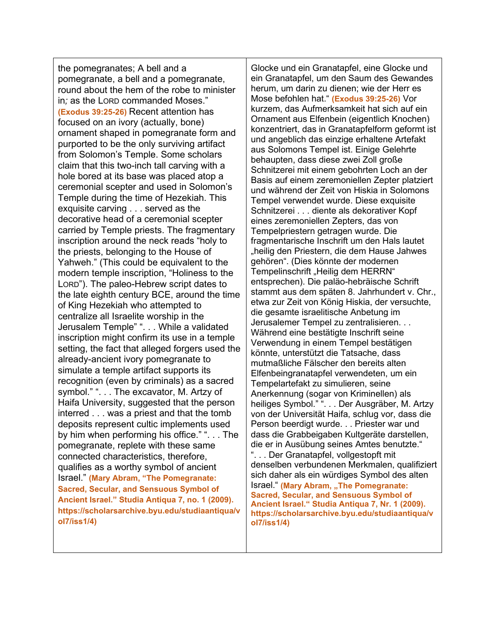the pomegranates; A bell and a pomegranate, a bell and a pomegranate, round about the hem of the robe to minister in*;* as the LORD commanded Moses." **(Exodus 39:25-26)** Recent attention has focused on an ivory (actually, bone) ornament shaped in pomegranate form and purported to be the only surviving artifact from Solomon's Temple. Some scholars claim that this two-inch tall carving with a hole bored at its base was placed atop a ceremonial scepter and used in Solomon's Temple during the time of Hezekiah. This exquisite carving . . . served as the decorative head of a ceremonial scepter carried by Temple priests. The fragmentary inscription around the neck reads "holy to the priests, belonging to the House of Yahweh." (This could be equivalent to the modern temple inscription, "Holiness to the LORD"). The paleo-Hebrew script dates to the late eighth century BCE, around the time of King Hezekiah who attempted to centralize all Israelite worship in the Jerusalem Temple" ". . . While a validated inscription might confirm its use in a temple setting, the fact that alleged forgers used the already-ancient ivory pomegranate to simulate a temple artifact supports its recognition (even by criminals) as a sacred symbol." ". . . The excavator, M. Artzy of Haifa University, suggested that the person interred . . . was a priest and that the tomb deposits represent cultic implements used by him when performing his office." ". . . The pomegranate, replete with these same connected characteristics, therefore, qualifies as a worthy symbol of ancient Israel." **(Mary Abram, "The Pomegranate: Sacred, Secular, and Sensuous Symbol of Ancient Israel." Studia Antiqua 7, no. 1 (2009). https://scholarsarchive.byu.edu/studiaantiqua/v ol7/iss1/4)**

Glocke und ein Granatapfel, eine Glocke und ein Granatapfel, um den Saum des Gewandes herum, um darin zu dienen; wie der Herr es Mose befohlen hat." **(Exodus 39:25-26)** Vor kurzem, das Aufmerksamkeit hat sich auf ein Ornament aus Elfenbein (eigentlich Knochen) konzentriert, das in Granatapfelform geformt ist und angeblich das einzige erhaltene Artefakt aus Solomons Tempel ist. Einige Gelehrte behaupten, dass diese zwei Zoll große Schnitzerei mit einem gebohrten Loch an der Basis auf einem zeremoniellen Zepter platziert und während der Zeit von Hiskia in Solomons Tempel verwendet wurde. Diese exquisite Schnitzerei . . . diente als dekorativer Kopf eines zeremoniellen Zepters, das von Tempelpriestern getragen wurde. Die fragmentarische Inschrift um den Hals lautet "heilig den Priestern, die dem Hause Jahwes gehören". (Dies könnte der modernen Tempelinschrift "Heilig dem HERRN" entsprechen). Die paläo-hebräische Schrift stammt aus dem späten 8. Jahrhundert v. Chr., etwa zur Zeit von König Hiskia, der versuchte, die gesamte israelitische Anbetung im Jerusalemer Tempel zu zentralisieren. . . Während eine bestätigte Inschrift seine Verwendung in einem Tempel bestätigen könnte, unterstützt die Tatsache, dass mutmaßliche Fälscher den bereits alten Elfenbeingranatapfel verwendeten, um ein Tempelartefakt zu simulieren, seine Anerkennung (sogar von Kriminellen) als heiliges Symbol." ". . . Der Ausgräber, M. Artzy von der Universität Haifa, schlug vor, dass die Person beerdigt wurde. . . Priester war und dass die Grabbeigaben Kultgeräte darstellen, die er in Ausübung seines Amtes benutzte." ". . . Der Granatapfel, vollgestopft mit denselben verbundenen Merkmalen, qualifiziert sich daher als ein würdiges Symbol des alten Israel." **(Mary Abram, "The Pomegranate: Sacred, Secular, and Sensuous Symbol of Ancient Israel." Studia Antiqua 7, Nr. 1 (2009). https://scholarsarchive.byu.edu/studiaantiqua/v ol7/iss1/4)**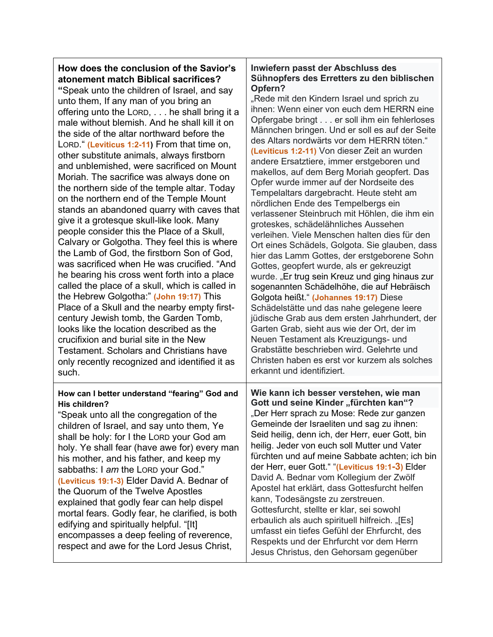# **How does the conclusion of the Savior's atonement match Biblical sacrifices?**

**"**Speak unto the children of Israel, and say unto them, If any man of you bring an offering unto the LORD, . . . he shall bring it a male without blemish. And he shall kill it on the side of the altar northward before the LORD." **(Leviticus 1:2-11)** From that time on, other substitute animals, always firstborn and unblemished, were sacrificed on Mount Moriah. The sacrifice was always done on the northern side of the temple altar. Today on the northern end of the Temple Mount stands an abandoned quarry with caves that give it a grotesque skull-like look. Many people consider this the Place of a Skull, Calvary or Golgotha. They feel this is where the Lamb of God, the firstborn Son of God, was sacrificed when He was crucified. "And he bearing his cross went forth into a place called the place of a skull, which is called in the Hebrew Golgotha:" **(John 19:17)** This Place of a Skull and the nearby empty firstcentury Jewish tomb, the Garden Tomb, looks like the location described as the crucifixion and burial site in the New Testament. Scholars and Christians have only recently recognized and identified it as such.

#### **How can I better understand "fearing" God and His children?**

"Speak unto all the congregation of the children of Israel, and say unto them, Ye shall be holy: for I the LORD your God am holy. Ye shall fear (have awe for) every man his mother, and his father, and keep my sabbaths: I *am* the LORD your God." **(Leviticus 19:1-3)** Elder David A. Bednar of the Quorum of the Twelve Apostles explained that godly fear can help dispel mortal fears. Godly fear, he clarified, is both edifying and spiritually helpful. "[It] encompasses a deep feeling of reverence, respect and awe for the Lord Jesus Christ,

#### **Inwiefern passt der Abschluss des Sühnopfers des Erretters zu den biblischen Opfern?**

"Rede mit den Kindern Israel und sprich zu ihnen: Wenn einer von euch dem HERRN eine Opfergabe bringt . . . er soll ihm ein fehlerloses Männchen bringen. Und er soll es auf der Seite des Altars nordwärts vor dem HERRN töten." **(Leviticus 1:2-11)** Von dieser Zeit an wurden andere Ersatztiere, immer erstgeboren und makellos, auf dem Berg Moriah geopfert. Das Opfer wurde immer auf der Nordseite des Tempelaltars dargebracht. Heute steht am nördlichen Ende des Tempelbergs ein verlassener Steinbruch mit Höhlen, die ihm ein groteskes, schädelähnliches Aussehen verleihen. Viele Menschen halten dies für den Ort eines Schädels, Golgota. Sie glauben, dass hier das Lamm Gottes, der erstgeborene Sohn Gottes, geopfert wurde, als er gekreuzigt wurde. "Er trug sein Kreuz und ging hinaus zur sogenannten Schädelhöhe, die auf Hebräisch Golgota heißt." **(Johannes 19:17)** Diese Schädelstätte und das nahe gelegene leere jüdische Grab aus dem ersten Jahrhundert, der Garten Grab, sieht aus wie der Ort, der im Neuen Testament als Kreuzigungs- und Grabstätte beschrieben wird. Gelehrte und Christen haben es erst vor kurzem als solches erkannt und identifiziert. **Wie kann ich besser verstehen, wie man Gott und seine Kinder "fürchten kan"?** "Der Herr sprach zu Mose: Rede zur ganzen Gemeinde der Israeliten und sag zu ihnen: Seid heilig, denn ich, der Herr, euer Gott, bin heilig. Jeder von euch soll Mutter und Vater fürchten und auf meine Sabbate achten; ich bin

der Herr, euer Gott." "**(Leviticus 19:1-3)** Elder David A. Bednar vom Kollegium der Zwölf Apostel hat erklärt, dass Gottesfurcht helfen kann, Todesängste zu zerstreuen. Gottesfurcht, stellte er klar, sei sowohl erbaulich als auch spirituell hilfreich. "[Es] umfasst ein tiefes Gefühl der Ehrfurcht, des Respekts und der Ehrfurcht vor dem Herrn Jesus Christus, den Gehorsam gegenüber